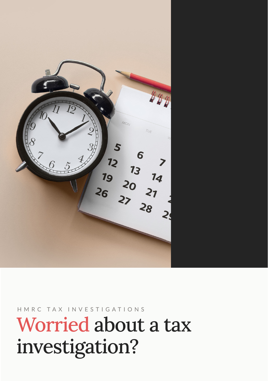

HMRC TAX INVESTIGATIONS

# Worried about a tax investigation?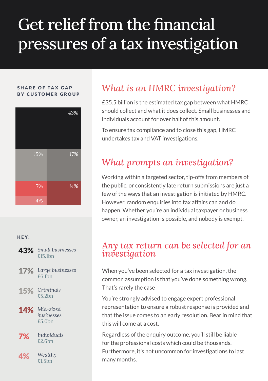# Get relief from the financial pressures of a tax investigation

#### SHARE OF TAX GAP BY CUSTOMER GROUP



#### KEY:



- **15%** Criminals
- 14% Mid-sized *businesses* £5.0bn
- *Individuals*  $7\%$  Individ
- *Wealthy*  $4\%$  Wealth

## *What is an HMRC investigation?*

£35.5 billion is the estimated tax gap between what HMRC should collect and what it does collect. Small businesses and individuals account for over half of this amount.

To ensure tax compliance and to close this gap, HMRC undertakes tax and VAT investigations.

### *What prompts an investigation?*

Working within a targeted sector, tip-offs from members of the public, or consistently late return submissions are just a few of the ways that an investigation is initiated by HMRC. However, random enquiries into tax affairs can and do happen. Whether you're an individual taxpayer or business owner, an investigation is possible, and nobody is exempt.

### *Any tax return can be selected for an investigation*

When you've been selected for a tax investigation, the common assumption is that you've done something wrong. That's rarely the case

You're strongly advised to engage expert professional representation to ensure a robust response is provided and that the issue comes to an early resolution. Bear in mind that this will come at a cost.

Regardless of the enquiry outcome, you'll still be liable for the professional costs which could be thousands. Furthermore, it's not uncommon for investigations to last many months.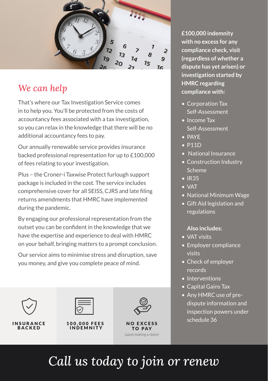ひ Ş 79 9  $75$ 

### *We can help*

That's where our Tax Investigation Service comes in to help you. You'll be protected from the costs of accountancy fees associated with a tax investigation, so you can relax in the knowledge that there will be no additional accountancy fees to pay.

Our annually renewable service provides insurance backed professional representation for up to £100,000 of fees relating to your investigation.

Plus – the Croner-i Taxwise Protect furlough support package is included in the cost. The service includes comprehensive cover for all SEISS, CJRS and late filing returns amendments that HMRC have implemented during the pandemic.

By engaging our professional representation from the outset you can be confident in the knowledge that we have the expertise and experience to deal with HMRC on your behalf, bringing matters to a prompt conclusion.

Our service aims to minimise stress and disruption, save you money, and give you complete peace of mind.



**INSURANCE BACKED** 



100,000 FEES **INDEMNITY** 



NO EXCESS TO PAY *(upon making a claim)*

**£100,000 indemnity with no excess for any compliance check, visit (regardless of whether a dispute has yet arisen) or investigation started by HMRC regarding compliance with:**

- Corporation Tax Self-Assessment
- Income Tax Self-Assessment
- PAYE
- P11D
- National Insurance
- Construction Industry Scheme
- IR35
- VAT
- National Minimum Wage
- Gift Aid legislation and regulations

### **Also includes:**

- VAT visits
- Employer compliance visits
- Check of employer records
- Interventions
- Capital Gains Tax
- Any HMRC use of predispute information and inspection powers under schedule 36

## *Call us today to join or renew*